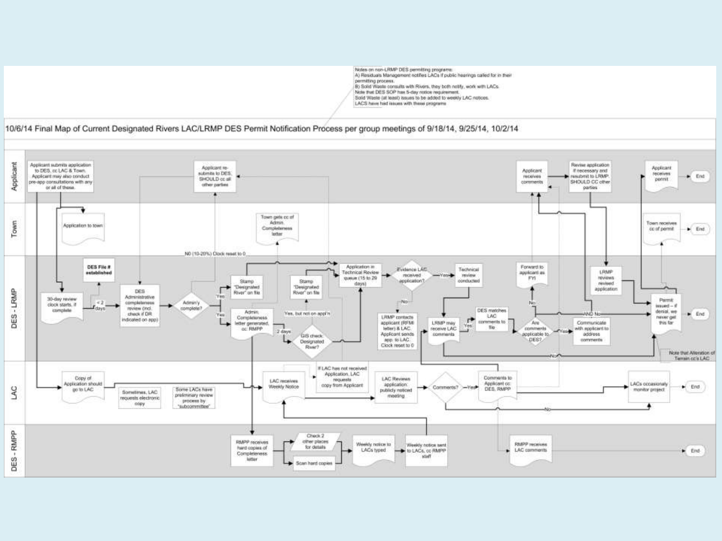Notes on non-LRMP DES permiting programs: A) Residuals Management notifies LACs if public hearings called for in their permitting process. B) Solid Waste consults with Rivers, they both notify, work with LACs. Note that DES SOP has 5-day notice requirement. Solid Waste (at least) issues to be added to weekly LAC notices.

LACS have had issues with these programs

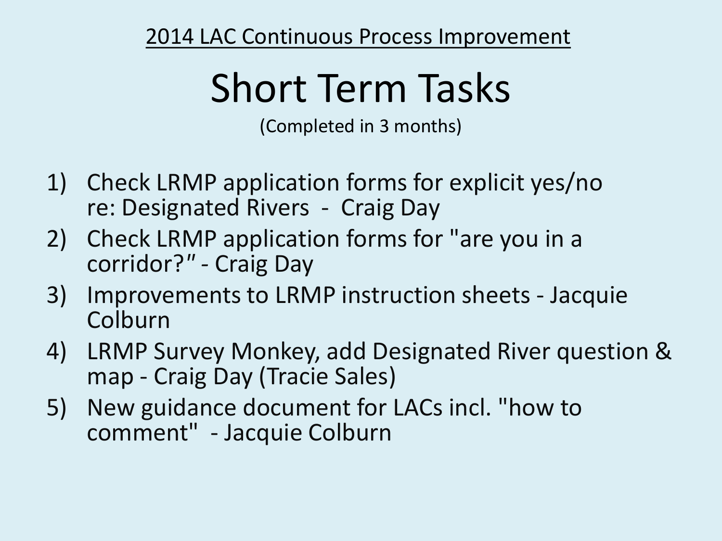# Short Term Tasks

(Completed in 3 months)

- 1) Check LRMP application forms for explicit yes/no re: Designated Rivers - Craig Day
- 2) Check LRMP application forms for "are you in a corridor?*" -* Craig Day
- 3) Improvements to LRMP instruction sheets Jacquie Colburn
- 4) LRMP Survey Monkey, add Designated River question & map - Craig Day (Tracie Sales)
- 5) New guidance document for LACs incl. "how to comment" - Jacquie Colburn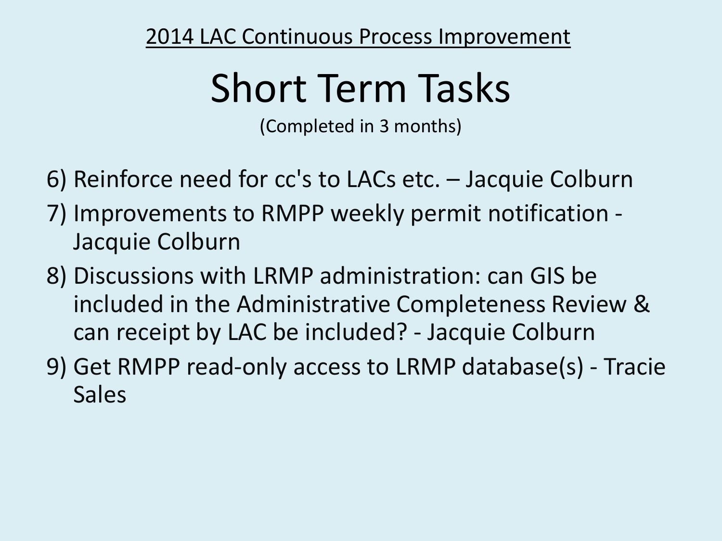# Short Term Tasks

(Completed in 3 months)

- 6) Reinforce need for cc's to LACs etc. Jacquie Colburn
- 7) Improvements to RMPP weekly permit notification Jacquie Colburn
- 8) Discussions with LRMP administration: can GIS be included in the Administrative Completeness Review & can receipt by LAC be included? - Jacquie Colburn
- 9) Get RMPP read-only access to LRMP database(s) Tracie Sales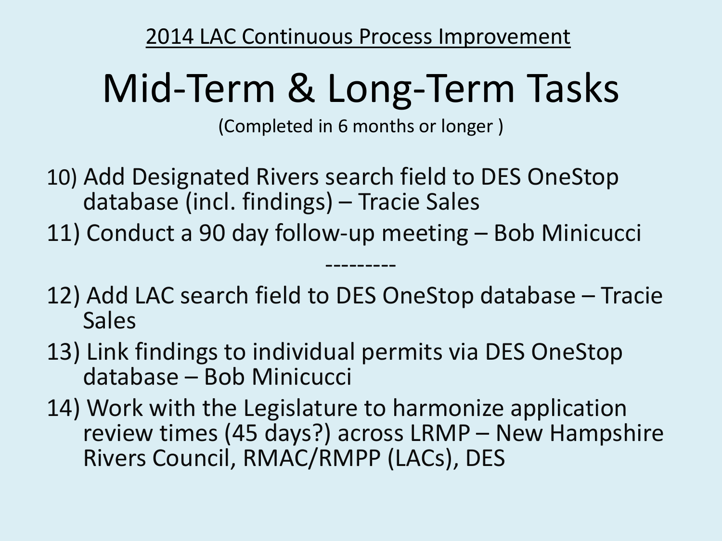## Mid-Term & Long-Term Tasks

(Completed in 6 months or longer )

10) Add Designated Rivers search field to DES OneStop database (incl. findings) – Tracie Sales

11) Conduct a 90 day follow-up meeting – Bob Minicucci

12) Add LAC search field to DES OneStop database – Tracie Sales

---------

- 13) Link findings to individual permits via DES OneStop database – Bob Minicucci
- 14) Work with the Legislature to harmonize application review times (45 days?) across LRMP – New Hampshire Rivers Council, RMAC/RMPP (LACs), DES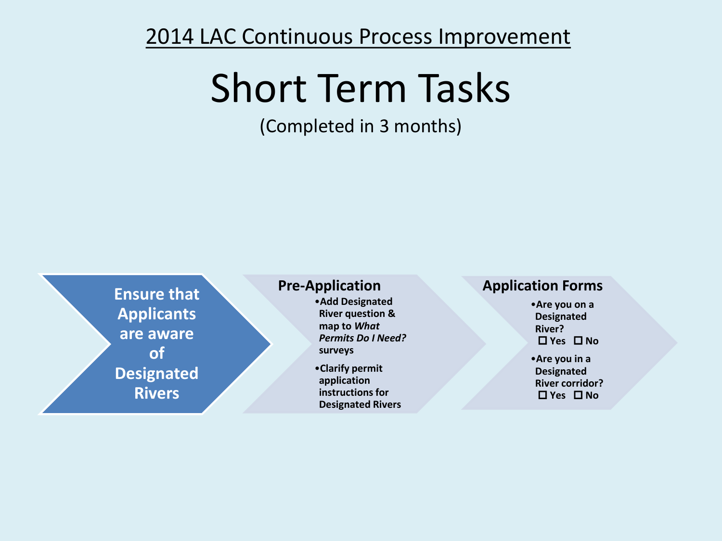### Short Term Tasks

(Completed in 3 months)

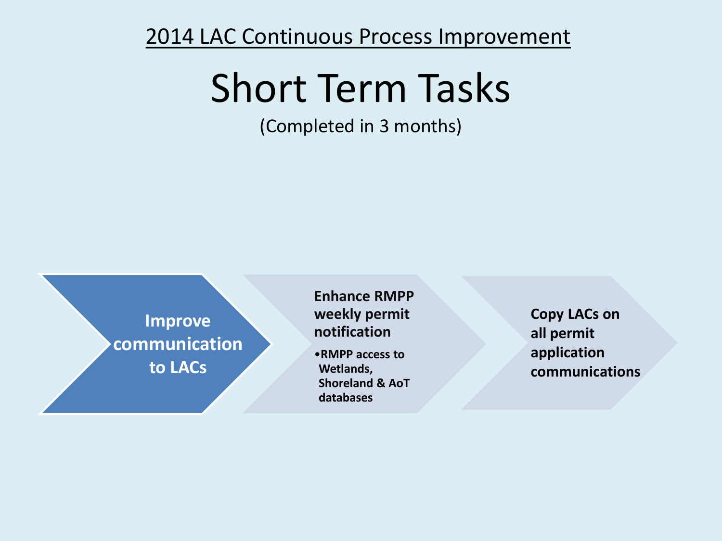### Short Term Tasks

(Completed in 3 months)



**Enhance RMPP weekly permit notification** 

•**RMPP access to Wetlands, Shoreland & AoT databases** 

**Copy LACs on all permit application communications**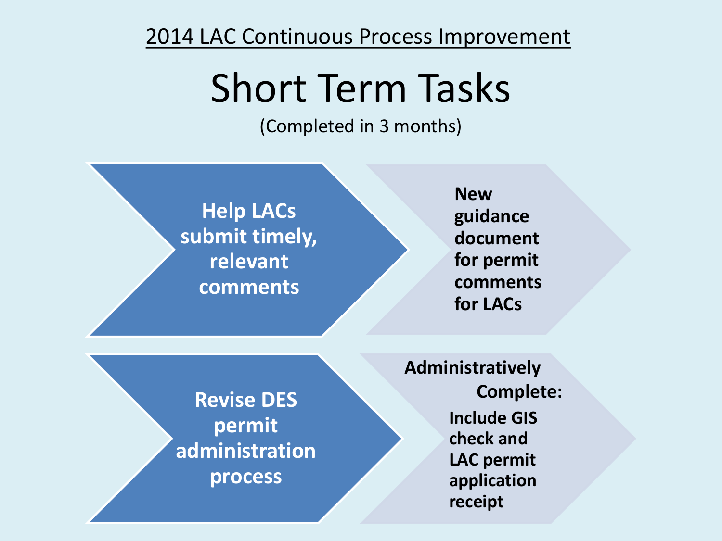### Short Term Tasks

(Completed in 3 months)

**Help LACs submit timely, relevant comments**

**New guidance document for permit comments for LACs**

**Revise DES permit administration process**

**Include GIS check and LAC permit application receipt Administratively Complete:**